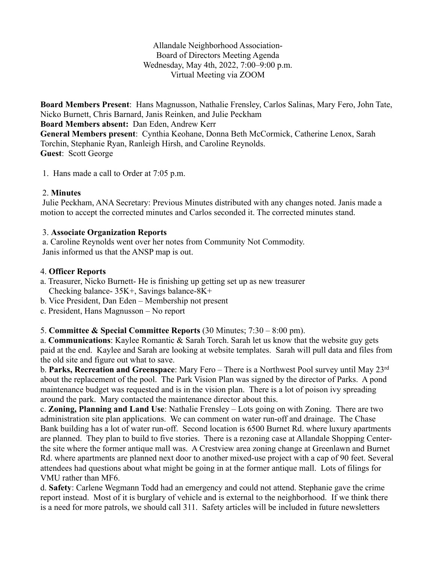Allandale Neighborhood Association-Board of Directors Meeting Agenda Wednesday, May 4th, 2022, 7:00–9:00 p.m. Virtual Meeting via ZOOM

**Board Members Present**: Hans Magnusson, Nathalie Frensley, Carlos Salinas, Mary Fero, John Tate, Nicko Burnett, Chris Barnard, Janis Reinken, and Julie Peckham **Board Members absent:** Dan Eden, Andrew Kerr **General Members present**: Cynthia Keohane, Donna Beth McCormick, Catherine Lenox, Sarah Torchin, Stephanie Ryan, Ranleigh Hirsh, and Caroline Reynolds. **Guest**: Scott George

1. Hans made a call to Order at 7:05 p.m.

## 2. **Minutes**

Julie Peckham, ANA Secretary: Previous Minutes distributed with any changes noted. Janis made a motion to accept the corrected minutes and Carlos seconded it. The corrected minutes stand.

### 3. **Associate Organization Reports**

a. Caroline Reynolds went over her notes from Community Not Commodity. Janis informed us that the ANSP map is out.

### 4. **Officer Reports**

- a. Treasurer, Nicko Burnett- He is finishing up getting set up as new treasurer Checking balance- 35K+, Savings balance-8K+
- b. Vice President, Dan Eden Membership not present
- c. President, Hans Magnusson No report

# 5. **Committee & Special Committee Reports** (30 Minutes; 7:30 – 8:00 pm).

a. **Communications**: Kaylee Romantic & Sarah Torch. Sarah let us know that the website guy gets paid at the end. Kaylee and Sarah are looking at website templates. Sarah will pull data and files from the old site and figure out what to save.

b. **Parks, Recreation and Greenspace**: Mary Fero – There is a Northwest Pool survey until May 23rd about the replacement of the pool. The Park Vision Plan was signed by the director of Parks. A pond maintenance budget was requested and is in the vision plan. There is a lot of poison ivy spreading around the park. Mary contacted the maintenance director about this.

c. **Zoning, Planning and Land Use**: Nathalie Frensley – Lots going on with Zoning. There are two administration site plan applications. We can comment on water run-off and drainage. The Chase Bank building has a lot of water run-off. Second location is 6500 Burnet Rd. where luxury apartments are planned. They plan to build to five stories. There is a rezoning case at Allandale Shopping Centerthe site where the former antique mall was. A Crestview area zoning change at Greenlawn and Burnet Rd. where apartments are planned next door to another mixed-use project with a cap of 90 feet. Several attendees had questions about what might be going in at the former antique mall. Lots of filings for VMU rather than MF6.

d. **Safety**: Carlene Wegmann Todd had an emergency and could not attend. Stephanie gave the crime report instead. Most of it is burglary of vehicle and is external to the neighborhood. If we think there is a need for more patrols, we should call 311. Safety articles will be included in future newsletters